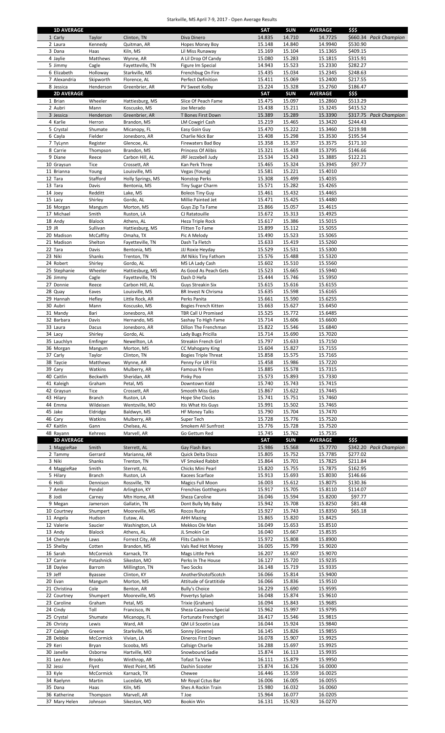## Starkville, MS April 7-9, 2017 - Open Average Results

| 1 Carly                     | <b>1D AVERAGE</b>          | Clinton, TN                       | Diva Dinero                                | <b>SAT</b><br>14.835 | SUN<br>14.710    | <b>AVERAGE</b><br>14.7725 | \$\$\$<br>\$660.34 Pack Champion   |
|-----------------------------|----------------------------|-----------------------------------|--------------------------------------------|----------------------|------------------|---------------------------|------------------------------------|
| 2 Laura                     | Taylor<br>Kennedy          | Quitman, AR                       | Hopes Money Boy                            | 15.148               | 14.840           | 14.9940                   | \$530.90                           |
| 3 Dana                      | Haas                       | Kiln, MS                          | Lil Miss Runaway                           | 15.169               | 15.104           | 15.1365                   | \$409.15                           |
| 4 Jaylie                    | Matthews                   | Wynne, AR                         | A Lil Drop Of Candy                        | 15.080               | 15.283           | 15.1815                   | \$315.91                           |
| 5 Jimmy                     | Cagle                      | Fayetteville, TN                  | Figure Im Special                          | 14.943               | 15.523           | 15.2330                   | \$282.27                           |
| 6 Elizabeth<br>7 Alexandria | Holloway                   | Starkville, MS<br>Florence, AL    | Frenchbug On Fire                          | 15.435<br>15.411     | 15.034<br>15.069 | 15.2345<br>15.2400        | \$248.63<br>\$217.55               |
| 8 Jessica                   | Skipworth<br>Henderson     | Greenbrier, AR                    | Perfect Definition<br>PV Sweet Kolby       | 15.224               | 15.328           | 15.2760                   | \$186.47                           |
|                             | <b>2D AVERAGE</b>          |                                   |                                            | <b>SAT</b>           | <b>SUN</b>       | <b>AVERAGE</b>            | \$\$\$                             |
| 1 Brian                     | Wheeler                    | Hattiesburg, MS                   | Slice Of Peach Fame                        | 15.475               | 15.097           | 15.2860                   | \$513.29                           |
| 2 Aubri                     | Mann                       | Koscusko. MS                      | Joe Merado                                 | 15.438               | 15.211           | 15.3245                   | \$415.52                           |
| 3 Jessica                   | Henderson                  | Greenbrier, AR                    | T Bones First Down                         | 15.389               | 15.289           | 15.3390                   | \$317.75 Pack Champion             |
| 4 Karlie                    | Herron                     | Brandon, MS                       | <b>LM Cowgirl Cash</b>                     | 15.219               | 15.465           | 15.3420                   | \$244.43                           |
| 5 Crystal<br>6 Cayla        | Shumate<br>Fielder         | Micanopy, FL<br>Jonesboro, AR     | Easy Goin Guy<br>Charlie Nick Bar          | 15.470<br>15.408     | 15.222<br>15.298 | 15.3460<br>15.3530        | \$219.98<br>\$195.54               |
| 7 TyLynn                    | Register                   | Glencoe, AL                       | <b>Firewaters Bad Boy</b>                  | 15.358               | 15.357           | 15.3575                   | \$171.10                           |
| 8 Carrie                    | Thompson                   | Brandon, MS                       | Princess Of Alibis                         | 15.321               | 15.438           | 15.3795                   | \$146.66                           |
| 9 Diane                     | Reece                      | Carbon Hill, AL                   | JRF Jezzebell Judy                         | 15.534               | 15.243           | 15.3885                   | \$122.21                           |
| 10 Graysun                  | Tice                       | Crossett, AR                      | Kan Perk Three                             | 15.465               | 15.324           | 15.3945                   | \$97.77                            |
| 11 Brianna                  | Young                      | Louisville, MS                    | Vegas (Young)                              | 15.581               | 15.221           | 15.4010                   |                                    |
| 12 Tara<br>13 Tara          | Stafford<br>Davis          | Holly Springs, MS                 | <b>Nonstop Perks</b>                       | 15.308<br>15.571     | 15.499<br>15.282 | 15.4035<br>15.4265        |                                    |
| 14 Joey                     | Redditt                    | Bentonia, MS<br>Lake, MS          | Tiny Sugar Charm<br><b>Boleos Tiny Guy</b> | 15.461               | 15.432           | 15.4465                   |                                    |
| 15 Lacy                     | Shirley                    | Gordo, AL                         | Millie Painted Jet                         | 15.471               | 15.425           | 15.4480                   |                                    |
| 16 Morgan                   | Mangum                     | Morton, MS                        | Guys Zip Ta Fame                           | 15.866               | 15.057           | 15.4615                   |                                    |
| 17 Michael                  | Smith                      | Ruston, LA                        | CJ Ratatouille                             | 15.672               | 15.313           | 15.4925                   |                                    |
| 18 Andy                     | Blalock                    | Athens, AL                        | Heza Triple Rock                           | 15.617               | 15.386           | 15.5015                   |                                    |
| 19 JR                       | Sullivan                   | Hattiesburg, MS                   | Flitten To Fame                            | 15.899               | 15.112           | 15.5055                   |                                    |
| 20 Madison<br>21 Madison    | McCaffity<br>Shelton       | Omaha, TX<br>Fayetteville, TN     | Pic A Melody<br>Dash Ta Fletch             | 15.490<br>15.633     | 15.523<br>15.419 | 15.5065<br>15.5260        |                                    |
| 22 Tara                     | Davis                      | Bentonia, MS                      | JJJ Roxie Heyday                           | 15.529               | 15.531           | 15.5300                   |                                    |
| 23 Niki                     | Shanks                     | Trenton, TN                       | JM Nikis Tiny Fathom                       | 15.576               | 15.488           | 15.5320                   |                                    |
| 24 Robert                   | Shirley                    | Gordo, AL                         | MS LA Lady Cash                            | 15.602               | 15.510           | 15.5560                   |                                    |
| 25 Stephanie                | Wheeler                    | Hattiesburg, MS                   | As Good As Peach Gets                      | 15.523               | 15.665           | 15.5940                   |                                    |
| 26 Jimmy                    | Cagle                      | Fayetteville, TN                  | Dash D Hefa                                | 15.444               | 15.746           | 15.5950                   |                                    |
| 27 Donnie                   | Reece                      | Carbon Hill, AL                   | <b>Guys Streakin Six</b>                   | 15.615               | 15.616           | 15.6155                   |                                    |
| 28 Quay<br>29 Hannah        | Eaves<br>Hefley            | Louisville, MS<br>Little Rock, AR | BR Invest N Chrisma<br>Perks Panita        | 15.635<br>15.661     | 15.598<br>15.590 | 15.6165<br>15.6255        |                                    |
| 30 Aubri                    | Mann                       | Koscusko, MS                      | Bogies French Kitten                       | 15.663               | 15.627           | 15.6450                   |                                    |
| 31 Mandy                    | Bari                       | Jonesboro, AR                     | TBR Call U Promised                        | 15.525               | 15.772           | 15.6485                   |                                    |
| 32 Barbara                  | Davis                      | Hernando, MS                      | Sashay To High Fame                        | 15.714               | 15.606           | 15.6600                   |                                    |
| 33 Laura                    | Dacus                      | Jonesboro, AR                     | Dillon The Frenchman                       | 15.822               | 15.546           | 15.6840                   |                                    |
| 34 Lacy                     | Shirley                    | Gordo, AL                         | Lady Bugs Pricilla                         | 15.714               | 15.690           | 15.7020                   |                                    |
| 35 Lauchlyn                 | Emfinger                   | Newellton, LA                     | Streakin French Girl                       | 15.797               | 15.633           | 15.7150                   |                                    |
| 36 Morgan<br>37 Carly       | Mangum<br>Taylor           | Morton, MS<br>Clinton, TN         | CC Mahogany King                           | 15.604<br>15.858     | 15.827<br>15.575 | 15.7155<br>15.7165        |                                    |
| 38 Taycie                   | Matthews                   | Wynne, AR                         | Bogies Triple Threat<br>Penny For UR Flit  | 15.458               | 15.986           | 15.7220                   |                                    |
| 39 Cary                     | Watkins                    | Mulberry, AR                      | Famous N Firen                             | 15.885               | 15.578           | 15.7315                   |                                    |
| 40 Caitlin                  | Beckwith                   | Sheridan, AR                      | Pinky Poo                                  | 15.573               | 15.893           | 15.7330                   |                                    |
| 41 Kaleigh                  | Graham                     | Petal, MS                         | Downtown Kidd                              | 15.740               | 15.743           | 15.7415                   |                                    |
| 42 Graysun                  | Tice                       | Crossett, AR                      | Smooth Miss Gato                           | 15.867               | 15.622           | 15.7445                   |                                    |
| 43 Hilary<br>44 Emma        | <b>Branch</b><br>Wildeisen | Ruston, LA                        | Hope She Clocks<br>Itis What Itis Guys     | 15.741<br>15.991     | 15.751<br>15.502 | 15.7460<br>15.7465        |                                    |
| 45 Jake                     | Eldridge                   | Wentzville, MO<br>Baldwyn, MS     | <b>HF Money Talks</b>                      | 15.790               | 15.704           | 15.7470                   |                                    |
| 46 Cary                     | Watkins                    | Mulberry, AR                      | Super Tech                                 | 15.728               | 15.776           | 15.7520                   |                                    |
| 47 Kaitlin                  | Gann                       | Chelsea, AL                       | Smokem All Sunfrost                        | 15.776               | 15.728           | 15.7520                   |                                    |
| 48 Rayann                   | Kehrees                    | Marvell, AR                       | Go Gettum Red                              | 15.745               | 15.762           | 15.7535                   |                                    |
|                             | <b>3D AVERAGE</b>          |                                   |                                            | <b>SAT</b>           | <b>SUN</b>       | <b>AVERAGE</b>            | \$\$\$                             |
| 1 MaggieRae<br>2 Tammy      | Smith<br>Gerrard           | Sterrett, AL                      | Gay Flash Bars<br>Quick Delta Disco        | 15.986<br>15.805     | 15.568<br>15.752 | 15.7770<br>15.7785        | \$342.20 Pack Champion<br>\$277.02 |
| 3 Niki                      | Shanks                     | Marianna, AR<br>Trenton, TN       | VF Smoked Rabbit                           | 15.864               | 15.701           | 15.7825                   | \$211.84                           |
| 4 MaggieRae                 | Smith                      | Sterrett, AL                      | Chicks Mini Pearl                          | 15.820               | 15.755           | 15.7875                   | \$162.95                           |
| 5 Hilary                    | <b>Branch</b>              | Ruston, LA                        | Kacees Scarface                            | 15.913               | 15.693           | 15.8030                   | \$146.66                           |
| 6 Holli                     | Dennison                   | Rossville, TN                     | Magics Full Moon                           | 16.003               | 15.612           | 15.8075                   | \$130.36                           |
| 7 Amber                     | Pendel                     | Arlington, KY                     | <b>Frenchies Gottheguns</b>                | 15.917               | 15.705           | 15.8110                   | \$114.07                           |
| 8 Jodi                      | Carney                     | Mtn Home, AR<br>Gallatin, TN      | Sheza Caroline                             | 16.046<br>15.942     | 15.594<br>15.708 | 15.8200<br>15.8250        | \$97.77<br>\$81.48                 |
| 9 Megan<br>10 Courtney      | Jamerson<br>Shumpert       | Mooreville, MS                    | Dont Bully My Baby<br><b>Rocos Rusty</b>   | 15.927               | 15.743           | 15.8350                   | \$65.18                            |
| 11 Angela                   | Hudson                     | Eutaw, AL                         | <b>AHH Mazing</b>                          | 15.865               | 15.820           | 15.8425                   |                                    |
| 12 Valerie                  | Saucier                    | Washington, LA                    | Mekkos Ole Man                             | 16.049               | 15.653           | 15.8510                   |                                    |
| 13 Andy                     | Blalock                    | Athens, AL                        | JL Smokin Cat                              | 16.040               | 15.667           | 15.8535                   |                                    |
| 14 Cheryle                  | Laws                       | Forrest City, AR                  | Flits Cashin In                            | 15.972               | 15.808           | 15.8900                   |                                    |
| 15 Shelby                   | Cotten                     | Brandon, MS                       | Vals Red Hot Money                         | 16.005               | 15.799           | 15.9020                   |                                    |
| 16 Sarah<br>17 Carrie       | McCormick<br>Potashnick    | Karnack, TX<br>Sikeston, MO       | Mags Little Perk<br>Perks In The House     | 16.207<br>16.127     | 15.607<br>15.720 | 15.9070<br>15.9235        |                                    |
| 18 Daylee                   | Barrom                     | Millington, TN                    | Two Socks                                  | 16.148               | 15.719           | 15.9335                   |                                    |
| 19 Jeff                     | Byassee                    | Clinton, KY                       | AnotherShotofScotch                        | 16.066               | 15.814           | 15.9400                   |                                    |
| 20 Evan                     | Mangum                     | Morton, MS                        | Attitude of Grattitide                     | 16.066               | 15.836           | 15.9510                   |                                    |
| 21 Christina                | Cole                       | Benton, AR                        | <b>Bully's Choice</b>                      | 16.229               | 15.690           | 15.9595                   |                                    |
| 22 Courtney                 | Shumpert                   | Mooreville, MS                    | Povertys Splash                            | 16.048               | 15.874           | 15.9610                   |                                    |
| 23 Caroline<br>24 Cindy     | Graham<br>Toll             | Petal, MS<br>Francisco, IN        | Trixie (Graham)<br>Sheza Casanova Special  | 16.094<br>15.962     | 15.843<br>15.997 | 15.9685<br>15.9795        |                                    |
| 25 Crystal                  | Shumate                    | Micanopy, FL                      | Fortunate Frenchgirl                       | 16.417               | 15.546           | 15.9815                   |                                    |
| 26 Christy                  | Lewis                      | Ward, AR                          | QM Lil Scootin Lea                         | 16.044               | 15.924           | 15.9840                   |                                    |
| 27 Caleigh                  | Greene                     | Starkville, MS                    | Sonny (Greene)                             | 16.145               | 15.826           | 15.9855                   |                                    |
| 28 Debbie                   | McCormick                  | Vivian, LA                        | Dineros First Down                         | 16.078               | 15.907           | 15.9925                   |                                    |
| 29 Keri                     | Bryan                      | Scooba, MS                        | Callsign Charlie                           | 16.288               | 15.697           | 15.9925                   |                                    |
| 30 Janelle<br>31 Lee Ann    | Osborne<br><b>Brooks</b>   | Hartville, MO<br>Winthrop, AR     | Snowbound Sadie                            | 15.874<br>16.111     | 16.113<br>15.879 | 15.9935<br>15.9950        |                                    |
| 32 Jessi                    | Flynt                      | West Point, MS                    | <b>Tofast Ta View</b><br>Dashin Scooter    | 15.874               | 16.126           | 16.0000                   |                                    |
| 33 Kyle                     | McCormick                  | Karnack, TX                       | Chewee                                     | 16.446               | 15.559           | 16.0025                   |                                    |
| 34 Raelynn                  | Martin                     | Lucedale, MS                      | Mr Royal Cctus Bar                         | 16.006               | 16.005           | 16.0055                   |                                    |
| 35 Dana                     | Haas                       | Kiln, MS                          | Shes A Rockin Train                        | 15.980               | 16.032           | 16.0060                   |                                    |
| 36 Katherine                | Thompson                   | Marvell, AR                       | T Joe                                      | 15.964               | 16.077           | 16.0205                   |                                    |
| 37 Mary Helen               | Johnson                    | Sikeston, MO                      | Bookin Win                                 | 16.131               | 15.923           | 16.0270                   |                                    |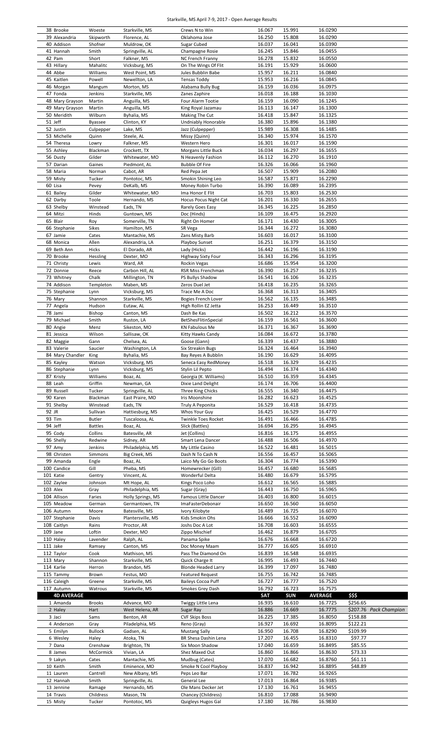## Starkville, MS April 7-9, 2017 - Open Average Results

|                       | Woeste         |                   |                            | 16.067     | 15.991           | 16.0290        |                        |
|-----------------------|----------------|-------------------|----------------------------|------------|------------------|----------------|------------------------|
| 38 Brooke             |                | Starkville, MS    | Crews N to Win             |            |                  |                |                        |
| 39 Alexandria         | Skipworth      | Florence, AL      | Oklahoma Jose              | 16.250     | 15.808           | 16.0290        |                        |
| 40 Addison            | Shofner        | Muldrow, OK       | Sugar Cubed                | 16.037     | 16.041           | 16.0390        |                        |
| 41 Hannah             | Smith          | Springville, AL   | Champagne Rosie            | 16.245     | 15.846           | 16.0455        |                        |
|                       |                |                   |                            |            |                  |                |                        |
| 42 Pam                | Short          | Falkner, MS       | <b>NC French Franny</b>    | 16.278     | 15.832           | 16.0550        |                        |
| 43 Hillary            | Mahalitc       | Vicksburg, MS     | On The Wings Of Flit       | 16.191     | 15.929           | 16.0600        |                        |
| 44 Abbe               | Williams       | West Point, MS    | Jules Bubblin Babe         | 15.957     | 16.211           | 16.0840        |                        |
| 45 Kaitlen            | Powell         | Newellton, LA     | <b>Tensas Toddy</b>        | 15.953     | 16.216           | 16.0845        |                        |
|                       |                |                   |                            |            |                  |                |                        |
| 46 Morgan             | Mangum         | Morton, MS        | Alabama Bully Bug          | 16.159     | 16.036           | 16.0975        |                        |
| 47 Fonda              | Jenkins        | Starkville, MS    | Zanes Zaphire              | 16.018     | 16.188           | 16.1030        |                        |
| 48 Mary Grayson       | Martin         | Anguilla, MS      | Four Alarm Tootie          | 16.159     | 16.090           | 16.1245        |                        |
|                       |                |                   |                            |            |                  |                |                        |
| 49 Mary Grayson       | Martin         | Anguilla, MS      | King Royal Jazamau         | 16.113     | 16.147           | 16.1300        |                        |
| 50 Meridith           | Wilburn        | Byhalia, MS       | Making The Cut             | 16.418     | 15.847           | 16.1325        |                        |
| 51 Jeff               | Byassee        | Clinton, KY       | Undniably Honorable        | 16.380     | 15.896           | 16.1380        |                        |
|                       |                |                   |                            |            |                  |                |                        |
| 52 Justin             | Culpepper      | Lake, MS          | Jazz (Culpepper)           | 15.989     | 16.308           | 16.1485        |                        |
| 53 Michelle           | Quinn          | Steele, AL        | Missy (Quinn)              | 16.340     | 15.974           | 16.1570        |                        |
| 54 Theresa            | Lowry          | Falkner, MS       | Western Hero               | 16.301     | 16.017           | 16.1590        |                        |
| 55 Ashley             | Blackman       | Crockett, TX      | Morgans Little Buck        | 16.034     | 16.297           | 16.1655        |                        |
|                       |                |                   |                            |            |                  |                |                        |
| 56 Dusty              | Gilder         | Whitewater, MO    | N Heavenly Fashion         | 16.112     | 16.270           | 16.1910        |                        |
| 57 Darian             | Gaines         | Piedmont, AL      | <b>Bubble Of Fire</b>      | 16.326     | 16.066           | 16.1960        |                        |
| 58 Maria              | Norman         | Cabot, AR         | Red Pepa Jet               | 16.507     | 15.909           | 16.2080        |                        |
| 59 Misty              | Tucker         | Pontotoc, MS      | Smokin Shining Leo         | 16.587     | 15.871           | 16.2290        |                        |
|                       |                |                   |                            |            |                  |                |                        |
| 60 Lisa               | Pevey          | DeKalb, MS        | Money Robin Turbo          | 16.390     | 16.089           | 16.2395        |                        |
| 61 Bailey             | Gilder         | Whitewater, MO    | Ima Honor E Flit           | 16.703     | 15.803           | 16.2530        |                        |
| 62 Darby              | Toole          | Hernando, MS      | Hocus Pocus Night Cat      | 16.201     | 16.330           | 16.2655        |                        |
| 63 Shelby             | Winstead       | Eads, TN          | Rarely Goes Easy           | 16.345     | 16.225           | 16.2850        |                        |
|                       |                |                   |                            |            |                  |                |                        |
| 64 Mitzi              | Hinds          | Guntown, MS       | Doc (Hinds)                | 16.109     | 16.475           | 16.2920        |                        |
| 65 Blair              | Roy            | Somerville, TN    | Right On Homer             | 16.171     | 16.430           | 16.3005        |                        |
| 66 Stephanie          | Sikes          | Hamilton, MS      | SR Vega                    | 16.344     | 16.272           | 16.3080        |                        |
| 67 Jamie              |                |                   |                            |            |                  |                |                        |
|                       | Cates          | Mantachie, MS     | Zans Misty Barb            | 16.603     | 16.017           | 16.3100        |                        |
| 68 Monica             | Allen          | Alexandria, LA    | Playboy Sunset             | 16.251     | 16.379           | 16.3150        |                        |
| 69 Beth Ann           | Hicks          | El Dorado, AR     | Lady (Hicks)               | 16.442     | 16.196           | 16.3190        |                        |
|                       |                |                   |                            | 16.343     |                  | 16.3195        |                        |
| 70 Brooke             | Hessling       | Dexter, MO        | Highway Sixty Four         |            | 16.296           |                |                        |
| 71 Christy            | Lewis          | Ward, AR          | Rockin Vegas               | 16.686     | 15.954           | 16.3200        |                        |
| 72 Donnie             | Reece          | Carbon Hill, AL   | RSR Miss Frenchman         | 16.390     | 16.257           | 16.3235        |                        |
| 73 Whitney            | Chalk          | Millington, TN    | PS Bullys Shadow           | 16.541     | 16.106           | 16.3235        |                        |
|                       |                |                   |                            |            |                  |                |                        |
| 74 Addison            | Templeton      | Maben, MS         | Zeros Duel Jet             | 16.418     | 16.235           | 16.3265        |                        |
| 75 Stephanie          | Lynn           | Vicksburg, MS     | Trace Me A Doc             | 16.368     | 16.313           | 16.3405        |                        |
| 76 Mary               | Shannon        | Starkville, MS    | Bogies French Lover        | 16.562     | 16.135           | 16.3485        |                        |
|                       |                |                   |                            |            |                  |                |                        |
| 77 Angela             | Hudson         | Eutaw, AL         | High Rollin EZ Jetta       | 16.253     | 16.449           | 16.3510        |                        |
| 78 Jami               | Bishop         | Canton, MS        | Dash Be Kas                | 16.502     | 16.212           | 16.3570        |                        |
| 79 Michael            | Smith          | Ruston, LA        | BetShesFlitinSpecial       | 16.159     | 16.561           | 16.3600        |                        |
|                       |                |                   |                            |            |                  |                |                        |
| 80 Angie              | Menz           | Sikeston, MO      | KN Fabulous Me             | 16.371     | 16.367           | 16.3690        |                        |
| 81 Jessica            | Wilson         | Sallisaw, OK      | Kitty Hawks Candy          | 16.084     | 16.672           | 16.3780        |                        |
| 82 Maggie             | Gann           | Chelsea, AL       | Goose (Gann)               | 16.339     | 16.437           | 16.3880        |                        |
| 83 Valerie            |                |                   | <b>Six Streakin Bugs</b>   | 16.324     | 16.464           | 16.3940        |                        |
|                       | Saucier        | Washington, LA    |                            |            |                  |                |                        |
| 84 Mary Chandler King |                | Byhalia, MS       | Bay Reyes A Bubblin        | 16.190     | 16.629           | 16.4095        |                        |
| 85 Kayley             | Watson         | Vicksburg, MS     | Seneca Easy RedMoney       | 16.518     | 16.329           | 16.4235        |                        |
| 86 Stephanie          | Lynn           | Vicksburg, MS     | Stylin Lil Pepto           | 16.494     | 16.374           | 16.4340        |                        |
|                       |                |                   |                            |            |                  |                |                        |
| 87 Kristy             | Williams       | Boaz, AL          | Georgia (K. Williams)      | 16.510     | 16.359           | 16.4345        |                        |
|                       |                |                   |                            |            |                  |                |                        |
| 88 Leah               | Griffin        | Newman, GA        | Dixie Land Delight         | 16.174     | 16.706           | 16.4400        |                        |
|                       |                |                   |                            |            |                  |                |                        |
| 89 Russell            | Tucker         | Springville, AL   | Three King Chicks          | 16.555     | 16.340           | 16.4475        |                        |
| 90 Karen              | Blackman       | East Praire, MO   | Iris Moonshine             | 16.282     | 16.623           | 16.4525        |                        |
| 91 Shelby             | Winstead       | Eads, TN          | Truly A Peponita           | 16.529     | 16.418           | 16.4735        |                        |
| 92 JR                 | Sullivan       |                   |                            | 16.425     | 16.529           | 16.4770        |                        |
|                       |                | Hattiesburg, MS   | Whos Your Guy              |            |                  |                |                        |
| 93 Tim                | <b>Butler</b>  | Tuscaloosa, AL    | <b>Twinkle Toes Rocket</b> | 16.491     | 16.466           | 16.4785        |                        |
| 94 Jeff               | <b>Battles</b> | Boaz, AL          | Slick (Battles)            | 16.694     | 16.295           | 16.4945        |                        |
| 95 Cody               | Collins        | Batesville, AR    | Jet (Collins)              | 16.816     | 16.175           | 16.4955        |                        |
|                       |                |                   |                            |            |                  |                |                        |
| 96 Shelly             | Redwine        | Sidney, AR        | Smart Lena Dancer          | 16.488     | 16.506           | 16.4970        |                        |
| 97 Amy                | Jenkins        | Philadelphia, MS  | My Little Casino           | 16.522     | 16.481           | 16.5015        |                        |
| 98 Christen           | Simmons        | Big Creek, MS     | Dash N To Cash N           | 16.556     | 16.457           | 16.5065        |                        |
| 99 Amanda             | Engle          | Boaz, AL          | Laico My Go Go Boots       | 16.304     | 16.774           | 16.5390        |                        |
|                       |                |                   |                            |            |                  |                |                        |
| 100 Candice           | Gill           | Pheba, MS         | Homewrecker (Gill)         | 16.457     | 16.680           | 16.5685        |                        |
| 101 Katie             | Gentry         | Vincent, AL       | Wonderful Delta            | 16.480     | 16.679           | 16.5795        |                        |
| 102 Zaylee            | Johnson        | Mt Hope, AL       | Kings Poco Loho            | 16.612     | 16.565           | 16.5885        |                        |
| 103 Alex              | Gray           | Philadelphia, MS  | Sugar (Gray)               | 16.443     | 16.750           | 16.5965        |                        |
|                       |                |                   |                            |            |                  |                |                        |
| 104 Allison           | Faries         | Holly Springs, MS | Famous Little Dancer       | 16.403     | 16.800           | 16.6015        |                        |
| 105 Meadow            | German         | Germantown, TN    | ImaFasterDebonair          | 16.650     | 16.560           | 16.6050        |                        |
| 106 Autumn            | Moore          | Batesville, MS    | Ivory Kilobyte             | 16.489     | 16.725           | 16.6070        |                        |
| 107 Stephanie         | Davis          | Plantersville, MS | Kids Smokin Ohs            | 16.666     | 16.552           | 16.6090        |                        |
|                       |                |                   |                            |            |                  |                |                        |
| 108 Caitlyn           | Rains          | Proctor, AR       | Joshs Doc A Lot            | 16.708     | 16.603           | 16.6555        |                        |
| 109 Jane              | Loftin         | Dexter, MO        | Zippo Mischief             | 16.462     | 16.879           | 16.6705        |                        |
| 110 Haley             | Lavender       | Ralph, AL         | Panama Spike               | 16.676     | 16.668           | 16.6720        |                        |
|                       |                |                   |                            |            |                  |                |                        |
| 111 Jake              | Ramsey         | Canton, MS        | Doc Money Maam             | 16.777     | 16.605           | 16.6910        |                        |
| 112 Taylor            | Cook           | Mathison, MS      | Pass The Diamond On        | 16.839     | 16.548           | 16.6935        |                        |
| 113 Mary              | Shannon        | Starkville, MS    | Quick Charge It            | 16.995     | 16.493           | 16.7440        |                        |
| 114 Karlie            | Herron         | Brandon, MS       | <b>Blonde Headed Larry</b> | 16.399     | 17.097           | 16.7480        |                        |
|                       |                |                   |                            |            |                  |                |                        |
| 115 Tammy             | Brown          | Festus, MO        | <b>Featured Request</b>    | 16.755     | 16.742           | 16.7485        |                        |
| 116 Caleigh           | Greene         | Starkville, MS    | <b>Baileys Cocoa Puff</b>  | 16.727     | 16.777           | 16.7520        |                        |
| 117 Autumn            | Watrous        | Starkville, MS    | Smokes Grey Dash           | 16.792     | 16.723           | 16.7575        |                        |
| <b>4D AVERAGE</b>     |                |                   |                            | <b>SAT</b> | <b>SUN</b>       |                |                        |
|                       |                |                   |                            |            |                  | <b>AVERAGE</b> | \$\$\$                 |
| 1 Amanda              | <b>Brooks</b>  | Advance, MO       | Twiggy Little Lena         | 16.935     | 16.610           | 16.7725        | \$256.65               |
| 2 Haley               | Hart           | West Helena, AR   | Sugar Ray                  | 16.886     | 16.669           | 16.7775        | \$207.76 Pack Champion |
| 3 Jaci                | Sams           | Benton, AR        | <b>CVF Skips Boss</b>      | 16.225     | 17.385           | 16.8050        | \$158.88               |
|                       |                |                   |                            |            |                  |                |                        |
| 4 Anderson            | Gray           | Piladelphia, MS   | Reno (Gray)                | 16.927     | 16.692           | 16.8095        | \$122.21               |
| 5 Emilyn              | <b>Bullock</b> | Gadsen, AL        | <b>Mustang Sally</b>       | 16.950     | 16.708           | 16.8290        | \$109.99               |
| 6 Wesley              | Haley          | Atoka, TN         | BR Shesa Dashin Lena       | 17.207     | 16.455           | 16.8310        | \$97.77                |
|                       |                |                   | Six Moon Shadow            |            |                  |                |                        |
| 7 Dana                | Crenshaw       | Brighton, TN      |                            | 17.040     | 16.659           | 16.8495        | \$85.55                |
| 8 James               | McCormick      | Vivian, LA        | Shez Maxed Out             | 16.860     | 16.866           | 16.8630        | \$73.33                |
| 9 Lakyn               | Cates          | Mantachie, MS     | Mudbug (Cates)             | 17.070     | 16.682           | 16.8760        | \$61.11                |
| 10 Keith              | Smith          | Eminence, MO      | Smoke N Cool Playboy       | 16.837     | 16.942           | 16.8895        | \$48.89                |
|                       |                |                   |                            |            |                  |                |                        |
| 11 Lauren             | Cantrell       | New Albany, MS    | Peps Leo Bar               | 17.071     | 16.782           | 16.9265        |                        |
| 12 Hannah             | Smith          | Springville, AL   | General Lee                | 17.013     | 16.864           | 16.9385        |                        |
| 13 Jennine            | Ramage         | Hernando, MS      | Ole Mans Decker Jet        | 17.130     | 16.761           | 16.9455        |                        |
| 14 Travis             | Childress      | Mason, TN         | Chancey (Childress)        | 16.810     |                  | 16.9490        |                        |
| 15 Misty              | Tucker         | Pontotoc, MS      | Quigleys Hugos Gal         | 17.180     | 17.088<br>16.786 | 16.9830        |                        |